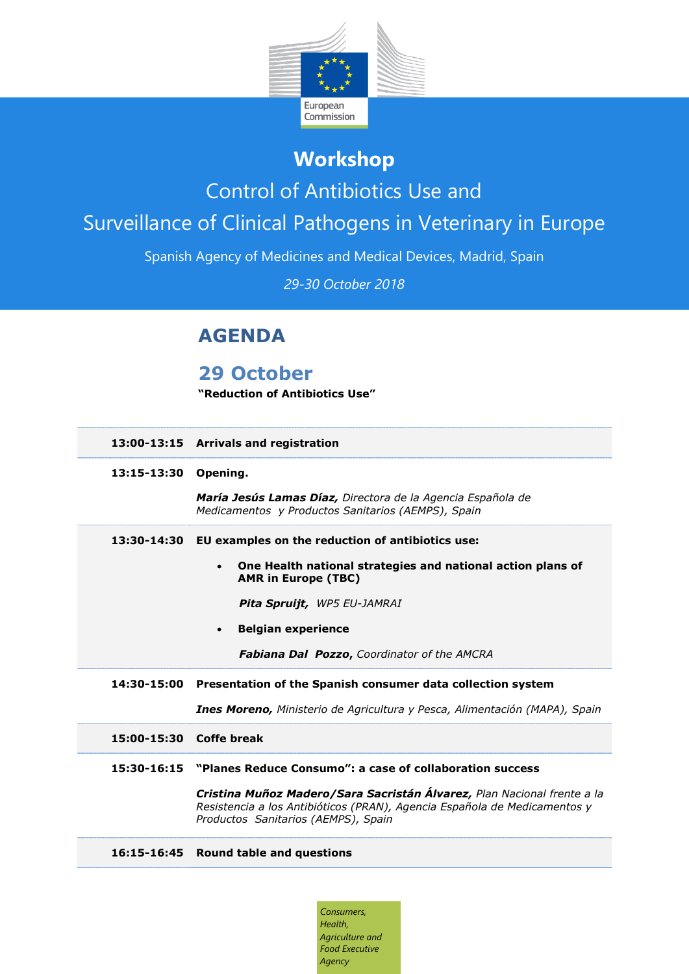

# **Workshop**

## Control of Antibiotics Use and

# Surveillance of Clinical Pathogens in Veterinary in Europe

Spanish Agency of Medicines and Medical Devices, Madrid, Spain

*29-30 October 2018*

## **AGENDA**

## **29 October**

**"Reduction of Antibiotics Use"**

- **13:00-13:15 Arrivals and registration**
- **13:15-13:30 Opening.**

*María Jesús Lamas Díaz, Directora de la Agencia Española de Medicamentos y Productos Sanitarios (AEMPS), Spain*

### **13:30-14:30 EU examples on the reduction of antibiotics use:**

 **One Health national strategies and national action plans of AMR in Europe (TBC)**

*Pita Spruijt, WP5 EU-JAMRAI*

**Belgian experience**

*Fabiana Dal Pozzo***,** *Coordinator of the AMCRA*

### **14:30-15:00 Presentation of the Spanish consumer data collection system**

*Ines Moreno, Ministerio de Agricultura y Pesca, Alimentación (MAPA), Spain*

- **15:00-15:30 Coffe break**
- **15:30-16:15 "Planes Reduce Consumo": a case of collaboration success**

*Cristina Muñoz Madero/Sara Sacristán Álvarez, Plan Nacional frente a la Resistencia a los Antibióticos (PRAN), Agencia Española de Medicamentos y Productos Sanitarios (AEMPS), Spain*

### **16:15-16:45 Round table and questions**

*Consumers, Health, Agriculture and Food Executive Agency*